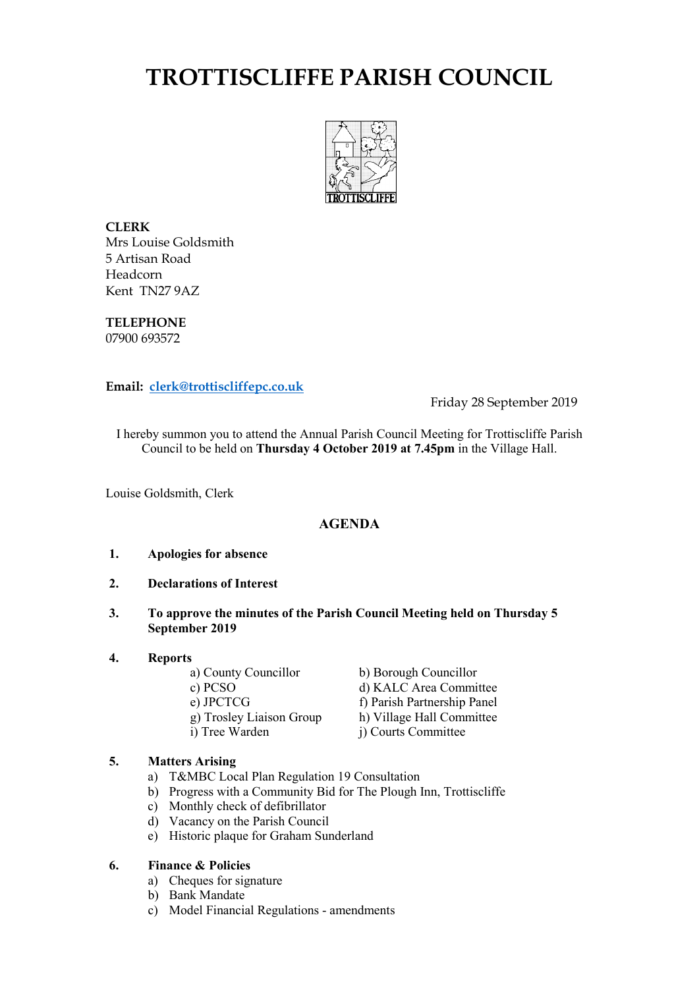# **TROTTISCLIFFE PARISH COUNCIL**



**CLERK** Mrs Louise Goldsmith 5 Artisan Road Headcorn Kent TN27 9AZ

**TELEPHONE** 07900 693572

**Email: [clerk@trottiscliffepc.co.uk](mailto:clerk@trottiscliffepc.co.uk)**

Friday 28 September 2019

I hereby summon you to attend the Annual Parish Council Meeting for Trottiscliffe Parish Council to be held on **Thursday 4 October 2019 at 7.45pm** in the Village Hall.

Louise Goldsmith, Clerk

# **AGENDA**

- **1. Apologies for absence**
- **2. Declarations of Interest**
- **3. To approve the minutes of the Parish Council Meeting held on Thursday 5 September 2019**
- **4. Reports**

a) County Councillor<br>
c) PCSO<br>
d) KALC Area Commi d) KALC Area Committee e) JPCTCG<br>
g) Trosley Liaison Group<br>
h) Village Hall Committee g) Trosley Liaison Group h) Village Hall Committee<br>i) Tree Warden i) Courts Committee j) Courts Committee

# **5. Matters Arising**

- a) T&MBC Local Plan Regulation 19 Consultation
- b) Progress with a Community Bid for The Plough Inn, Trottiscliffe
- c) Monthly check of defibrillator
- d) Vacancy on the Parish Council
- e) Historic plaque for Graham Sunderland

# **6. Finance & Policies**

- a) Cheques for signature
- b) Bank Mandate
- c) Model Financial Regulations amendments